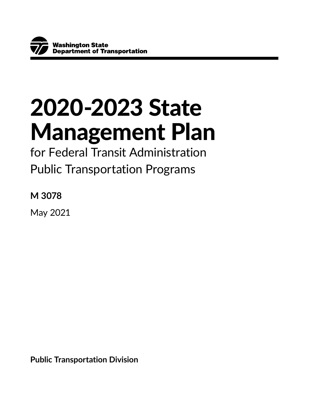# 2020-2023 State Management Plan

for Federal Transit Administration Public Transportation Programs

**M 3078**

May 2021

**Public Transportation Division**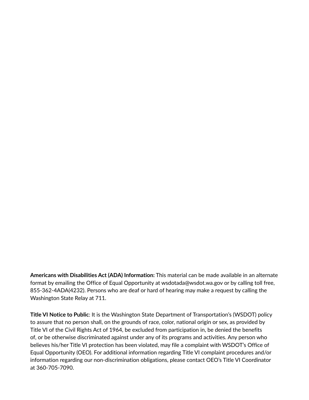**Americans with Disabilities Act (ADA) Information:** This material can be made available in an alternate format by emailing the Office of Equal Opportunity at wsdotada@wsdot.wa.gov or by calling toll free, 855-362-4ADA(4232). Persons who are deaf or hard of hearing may make a request by calling the Washington State Relay at 711.

**Title VI Notice to Public**: It is the Washington State Department of Transportation's (WSDOT) policy to assure that no person shall, on the grounds of race, color, national origin or sex, as provided by Title VI of the Civil Rights Act of 1964, be excluded from participation in, be denied the benefits of, or be otherwise discriminated against under any of its programs and activities. Any person who believes his/her Title VI protection has been violated, may file a complaint with WSDOT's Office of Equal Opportunity (OEO). For additional information regarding Title VI complaint procedures and/or information regarding our non-discrimination obligations, please contact OEO's Title VI Coordinator at 360-705-7090.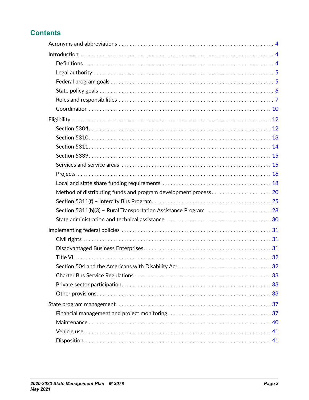# **Contents**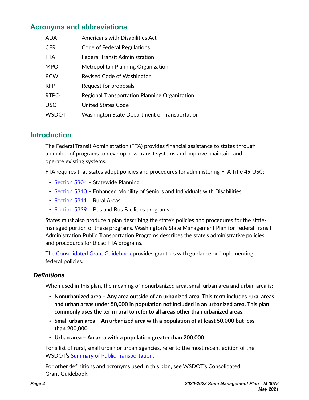# <span id="page-3-0"></span>**Acronyms and abbreviations**

| <b>ADA</b>   | Americans with Disabilities Act               |
|--------------|-----------------------------------------------|
| <b>CFR</b>   | Code of Federal Regulations                   |
| <b>FTA</b>   | Federal Transit Administration                |
| <b>MPO</b>   | Metropolitan Planning Organization            |
| <b>RCW</b>   | Revised Code of Washington                    |
| <b>RFP</b>   | Request for proposals                         |
| <b>RTPO</b>  | Regional Transportation Planning Organization |
| <b>USC</b>   | United States Code                            |
| <b>WSDOT</b> | Washington State Department of Transportation |

# **Introduction**

The Federal Transit Administration (FTA) provides financial assistance to states through a number of programs to develop new transit systems and improve, maintain, and operate existing systems.

FTA requires that states adopt policies and procedures for administering FTA Title 49 USC:

- [Section 5304](https://www.transit.dot.gov/funding/grants/metropolitan-statewide-planning-and-nonmetropolitan-transportation-planning-5303-5304) Statewide Planning
- [Section 5310](https://www.transit.dot.gov/funding/grants/enhanced-mobility-seniors-individuals-disabilities-section-5310) Enhanced Mobility of Seniors and Individuals with Disabilities
- [Section 5311](https://www.transit.dot.gov/rural-formula-grants-5311) Rural Areas
- [Section 5339](https://www.transit.dot.gov/bus-program) Bus and Bus Facilities programs

States must also produce a plan describing the state's policies and procedures for the statemanaged portion of these programs. Washington's State Management Plan for Federal Transit Administration Public Transportation Programs describes the state's administrative policies and procedures for these FTA programs.

The [Consolidated Grant Guidebook](https://www.wsdot.wa.gov/transit/grants/manage) provides grantees with guidance on implementing federal policies.

## *Definitions*

When used in this plan, the meaning of nonurbanized area, small urban area and urban area is:

- **Nonurbanized area Any area outside of an urbanized area. This term includes rural areas and urban areas under 50,000 in population not included in an urbanized area. This plan commonly uses the term rural to refer to all areas other than urbanized areas.**
- **Small urban area An urbanized area with a population of at least 50,000 but less than 200,000.**
- **Urban area An area with a population greater than 200,000.**

For a list of rural, small urban or urban agencies, refer to the most recent edition of the WSDOT's [Summary of Public Transportation.](https://www.wsdot.wa.gov/Publications/Manuals/M3079.htm)

For other definitions and acronyms used in this plan, see WSDOT's Consolidated Grant Guidebook.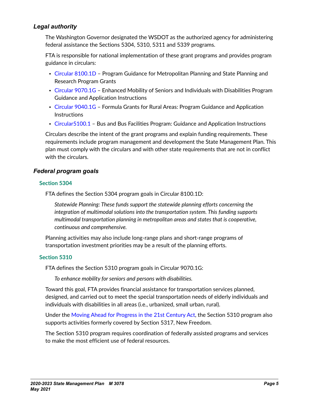## <span id="page-4-0"></span>*Legal authority*

The Washington Governor designated the WSDOT as the authorized agency for administering federal assistance the Sections 5304, 5310, 5311 and 5339 programs.

FTA is responsible for national implementation of these grant programs and provides program guidance in circulars:

- [Circular 8100.1D](https://www.transit.dot.gov/regulations-and-guidance/fta-circulars/program-guidance-metropolitan-planning-and-state-planning-a-0)  Program Guidance for Metropolitan Planning and State Planning and Research Program Grants
- [Circular 9070.1G](https://www.transit.dot.gov/regulations-and-guidance/fta-circulars/enhanced-mobility-seniors-and-individuals-disabilities) Enhanced Mobility of Seniors and Individuals with Disabilities Program Guidance and Application Instructions
- [Circular 9040.1G](https://www.transit.dot.gov/regulations-and-guidance/fta-circulars/formula-grants-rural-areas-program-guidance-and-application) Formula Grants for Rural Areas: Program Guidance and Application Instructions
- [Circular5100.1](https://www.transit.dot.gov/regulations-and-guidance/fta-circulars/bus-and-bus-facilities-program-guidance-and-application)  Bus and Bus Facilities Program: Guidance and Application Instructions

Circulars describe the intent of the grant programs and explain funding requirements. These requirements include program management and development the State Management Plan. This plan must comply with the circulars and with other state requirements that are not in conflict with the circulars.

### *Federal program goals*

#### **Section 5304**

FTA defines the Section 5304 program goals in Circular 8100.1D:

*Statewide Planning: These funds support the statewide planning efforts concerning the integration of multimodal solutions into the transportation system. This funding supports multimodal transportation planning in metropolitan areas and states that is cooperative, continuous and comprehensive.* 

Planning activities may also include long-range plans and short-range programs of transportation investment priorities may be a result of the planning efforts.

#### **Section 5310**

FTA defines the Section 5310 program goals in Circular 9070.1G:

*To enhance mobility for seniors and persons with disabilities.* 

Toward this goal, FTA provides financial assistance for transportation services planned, designed, and carried out to meet the special transportation needs of elderly individuals and individuals with disabilities in all areas (i.e., urbanized, small urban, rural).

Under the [Moving Ahead for Progress in the 21st Century Act,](https://www.fmcsa.dot.gov/mission/policy/map-21-moving-ahead-progress-21st-century-act) the Section 5310 program also supports activities formerly covered by Section 5317, New Freedom.

The Section 5310 program requires coordination of federally assisted programs and services to make the most efficient use of federal resources.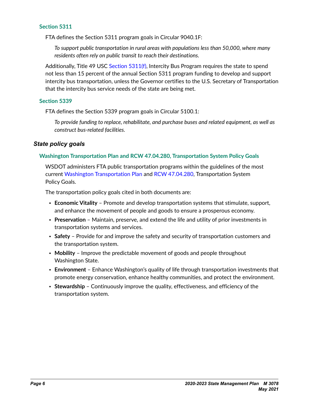<span id="page-5-0"></span>FTA defines the Section 5311 program goals in Circular 9040.1F:

*To support public transportation in rural areas with populations less than 50,000, where many residents often rely on public transit to reach their destinations.* 

Additionally, Title 49 USC [Section 5311\(f\)](https://www.transit.dot.gov/about/intercity-bus-program-section-5311-f), Intercity Bus Program requires the state to spend not less than 15 percent of the annual Section 5311 program funding to develop and support intercity bus transportation, unless the Governor certifies to the U.S. Secretary of Transportation that the intercity bus service needs of the state are being met.

#### **Section 5339**

FTA defines the Section 5339 program goals in Circular 5100.1:

*To provide funding to replace, rehabilitate, and purchase buses and related equipment, as well as construct bus-related facilities.*

#### *State policy goals*

#### **Washington Transportation Plan and RCW 47.04.280, Transportation System Policy Goals**

WSDOT administers FTA public transportation programs within the guidelines of the most current [Washington Transportation Plan](https://washtransplan.com/) and [RCW 47.04.280](https://apps.leg.wa.gov/RCW/default.aspx?cite=47.04.280), Transportation System Policy Goals.

The transportation policy goals cited in both documents are:

- **Economic Vitality** Promote and develop transportation systems that stimulate, support, and enhance the movement of people and goods to ensure a prosperous economy.
- **Preservation** Maintain, preserve, and extend the life and utility of prior investments in transportation systems and services.
- **Safety** Provide for and improve the safety and security of transportation customers and the transportation system.
- **Mobility** Improve the predictable movement of goods and people throughout Washington State.
- **Environment** Enhance Washington's quality of life through transportation investments that promote energy conservation, enhance healthy communities, and protect the environment.
- **Stewardship** Continuously improve the quality, effectiveness, and efficiency of the transportation system.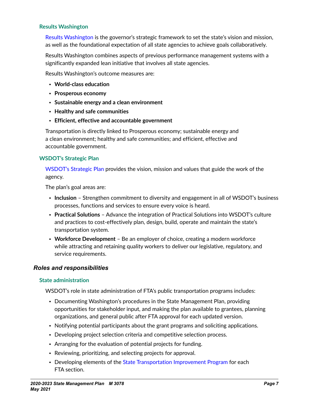#### <span id="page-6-0"></span>**Results Washington**

[Results Washington](https://results.wa.gov/) is the governor's strategic framework to set the state's vision and mission, as well as the foundational expectation of all state agencies to achieve goals collaboratively.

Results Washington combines aspects of previous performance management systems with a significantly expanded lean initiative that involves all state agencies.

Results Washington's outcome measures are:

- **World-class education**
- **Prosperous economy**
- **Sustainable energy and a clean environment**
- **Healthy and safe communities**
- **Efficient, effective and accountable government**

Transportation is directly linked to Prosperous economy; sustainable energy and a clean environment; healthy and safe communities; and efficient, effective and accountable government.

#### **WSDOT's Strategic Plan**

[WSDOT's Strategic Plan](https://www.wsdot.wa.gov/about/secretary/strategic-plan/) provides the vision, mission and values that guide the work of the agency.

The plan's goal areas are:

- **Inclusion** Strengthen commitment to diversity and engagement in all of WSDOT's business processes, functions and services to ensure every voice is heard.
- **Practical Solutions** Advance the integration of Practical Solutions into WSDOT's culture and practices to cost-effectively plan, design, build, operate and maintain the state's transportation system.
- **Workforce Development** Be an employer of choice, creating a modern workforce while attracting and retaining quality workers to deliver our legislative, regulatory, and service requirements.

#### *Roles and responsibilities*

#### **State administration**

WSDOT's role in state administration of FTA's public transportation programs includes:

- Documenting Washington's procedures in the State Management Plan, providing opportunities for stakeholder input, and making the plan available to grantees, planning organizations, and general public after FTA approval for each updated version.
- Notifying potential participants about the grant programs and soliciting applications.
- Developing project selection criteria and competitive selection process.
- Arranging for the evaluation of potential projects for funding.
- Reviewing, prioritizing, and selecting projects for approval.
- Developing elements of the [State Transportation Improvement Program](http://www.wsdot.wa.gov/LocalPrograms/ProgramMgmt/STIP.htm) for each FTA section.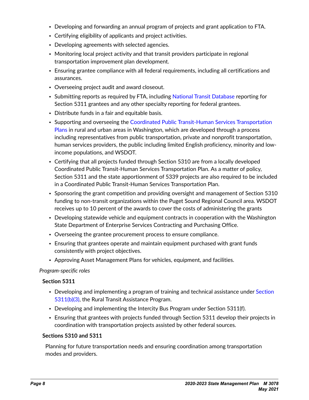- Developing and forwarding an annual program of projects and grant application to FTA.
- Certifying eligibility of applicants and project activities.
- Developing agreements with selected agencies.
- Monitoring local project activity and that transit providers participate in regional transportation improvement plan development.
- Ensuring grantee compliance with all federal requirements, including all certifications and assurances.
- Overseeing project audit and award closeout.
- Submitting reports as required by FTA, including [National Transit Database](https://www.transit.dot.gov/ntd) reporting for Section 5311 grantees and any other specialty reporting for federal grantees.
- Distribute funds in a fair and equitable basis.
- Supporting and overseeing the Coordinated Public Transit-Human Services Transportation [Plans](https://www.transit.dot.gov/funding/grants/coordinated-public-transit-human-services-transportation-plans) in rural and urban areas in Washington, which are developed through a process including representatives from public transportation, private and nonprofit transportation, human services providers, the public including limited English proficiency, minority and lowincome populations, and WSDOT.
- Certifying that all projects funded through Section 5310 are from a locally developed Coordinated Public Transit-Human Services Transportation Plan. As a matter of policy, Section 5311 and the state apportionment of 5339 projects are also required to be included in a Coordinated Public Transit-Human Services Transportation Plan.
- Sponsoring the grant competition and providing oversight and management of Section 5310 funding to non-transit organizations within the Puget Sound Regional Council area. WSDOT receives up to 10 percent of the awards to cover the costs of administering the grants
- Developing statewide vehicle and equipment contracts in cooperation with the Washington State Department of Enterprise Services Contracting and Purchasing Office.
- Overseeing the grantee procurement process to ensure compliance.
- Ensuring that grantees operate and maintain equipment purchased with grant funds consistently with project objectives.
- Approving Asset Management Plans for vehicles, equipment, and facilities.

#### *Program-specific roles*

#### **Section 5311**

- Developing and implementing a program of training and technical assistance under [Section](https://www.transit.dot.gov/funding/grants/rural-transportation-assistance-program-5311b3)  [5311\(b\)\(3\)](https://www.transit.dot.gov/funding/grants/rural-transportation-assistance-program-5311b3), the Rural Transit Assistance Program.
- Developing and implementing the Intercity Bus Program under Section 5311(f).
- Ensuring that grantees with projects funded through Section 5311 develop their projects in coordination with transportation projects assisted by other federal sources.

#### **Sections 5310 and 5311**

Planning for future transportation needs and ensuring coordination among transportation modes and providers.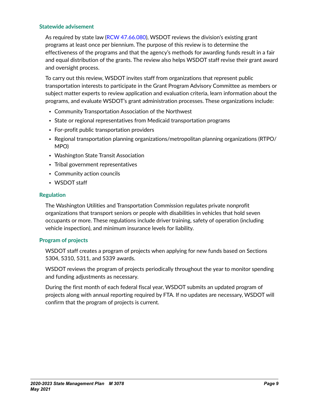#### **Statewide advisement**

As required by state law [\(RCW 47.66.080](https://app.leg.wa.gov/RCW/default.aspx?cite=47.66.080)), WSDOT reviews the division's existing grant programs at least once per biennium. The purpose of this review is to determine the effectiveness of the programs and that the agency's methods for awarding funds result in a fair and equal distribution of the grants. The review also helps WSDOT staff revise their grant award and oversight process.

To carry out this review, WSDOT invites staff from organizations that represent public transportation interests to participate in the Grant Program Advisory Committee as members or subject matter experts to review application and evaluation criteria, learn information about the programs, and evaluate WSDOT's grant administration processes. These organizations include:

- Community Transportation Association of the Northwest
- State or regional representatives from Medicaid transportation programs
- For-profit public transportation providers
- Regional transportation planning organizations/metropolitan planning organizations (RTPO/ MPO)
- Washington State Transit Association
- Tribal government representatives
- Community action councils
- WSDOT staff

#### **Regulation**

The Washington Utilities and Transportation Commission regulates private nonprofit organizations that transport seniors or people with disabilities in vehicles that hold seven occupants or more. These regulations include driver training, safety of operation (including vehicle inspection), and minimum insurance levels for liability.

#### **Program of projects**

WSDOT staff creates a program of projects when applying for new funds based on Sections 5304, 5310, 5311, and 5339 awards.

WSDOT reviews the program of projects periodically throughout the year to monitor spending and funding adjustments as necessary.

During the first month of each federal fiscal year, WSDOT submits an updated program of projects along with annual reporting required by FTA. If no updates are necessary, WSDOT will confirm that the program of projects is current.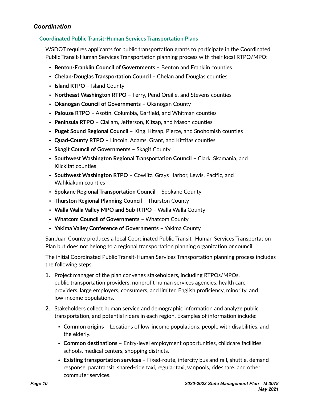## <span id="page-9-0"></span>*Coordination*

## **Coordinated Public Transit-Human Services Transportation Plans**

WSDOT requires applicants for public transportation grants to participate in the Coordinated Public Transit-Human Services Transportation planning process with their local RTPO/MPO:

- **Benton-Franklin Council of Governments**  Benton and Franklin counties
- **Chelan-Douglas Transportation Council**  Chelan and Douglas counties
- **Island RTPO** Island County
- **Northeast Washington RTPO** Ferry, Pend Oreille, and Stevens counties
- **Okanogan Council of Governments** Okanogan County
- **Palouse RTPO** Asotin, Columbia, Garfield, and Whitman counties
- **Peninsula RTPO** Clallam, Jefferson, Kitsap, and Mason counties
- **Puget Sound Regional Council** King, Kitsap, Pierce, and Snohomish counties
- **Quad-County RTPO** Lincoln, Adams, Grant, and Kittitas counties
- **Skagit Council of Governments** Skagit County
- **Southwest Washington Regional Transportation Council** Clark, Skamania, and Klickitat counties
- **Southwest Washington RTPO** Cowlitz, Grays Harbor, Lewis, Pacific, and Wahkiakum counties
- **Spokane Regional Transportation Council**  Spokane County
- **Thurston Regional Planning Council** Thurston County
- **Walla Walla Valley MPO and Sub-RTPO**  Walla Walla County
- **Whatcom Council of Governments** Whatcom County
- **Yakima Valley Conference of Governments** Yakima County

San Juan County produces a local Coordinated Public Transit- Human Services Transportation Plan but does not belong to a regional transportation planning organization or council.

The initial Coordinated Public Transit-Human Services Transportation planning process includes the following steps:

- **1.** Project manager of the plan convenes stakeholders, including RTPOs/MPOs, public transportation providers, nonprofit human services agencies, health care providers, large employers, consumers, and limited English proficiency, minority, and low-income populations.
- **2.** Stakeholders collect human service and demographic information and analyze public transportation, and potential riders in each region. Examples of information include:
	- **Common origins**  Locations of low-income populations, people with disabilities, and the elderly.
	- **Common destinations**  Entry-level employment opportunities, childcare facilities, schools, medical centers, shopping districts.
	- **Existing transportation services**  Fixed-route, intercity bus and rail, shuttle, demand response, paratransit, shared-ride taxi, regular taxi, vanpools, rideshare, and other commuter services.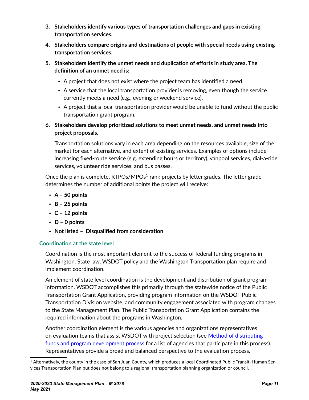- **3. Stakeholders identify various types of transportation challenges and gaps in existing transportation services.**
- **4. Stakeholders compare origins and destinations of people with special needs using existing transportation services.**
- **5. Stakeholders identify the unmet needs and duplication of efforts in study area. The definition of an unmet need is:**
	- A project that does not exist where the project team has identified a need.
	- A service that the local transportation provider is removing, even though the service currently meets a need (e.g., evening or weekend service).
	- A project that a local transportation provider would be unable to fund without the public transportation grant program.
- **6. Stakeholders develop prioritized solutions to meet unmet needs, and unmet needs into project proposals.**

Transportation solutions vary in each area depending on the resources available, size of the market for each alternative, and extent of existing services. Examples of options include increasing fixed-route service (e.g. extending hours or territory), vanpool services, dial-a-ride services, volunteer ride services, and bus passes.

Once the plan is complete,  $RTPOs/MPOS<sup>1</sup>$  rank projects by letter grades. The letter grade determines the number of additional points the project will receive:

- **A 50 points**
- **B 25 points**
- **C 12 points**
- **D 0 points**
- **Not listed Disqualified from consideration**

## **Coordination at the state level**

Coordination is the most important element to the success of federal funding programs in Washington. State law, WSDOT policy and the Washington Transportation plan require and implement coordination.

An element of state level coordination is the development and distribution of grant program information. WSDOT accomplishes this primarily through the statewide notice of the Public Transportation Grant Application, providing program information on the WSDOT Public Transportation Division website, and community engagement associated with program changes to the State Management Plan. The Public Transportation Grant Application contains the required information about the programs in Washington.

Another coordination element is the various agencies and organizations representatives on evaluation teams that assist WSDOT with project selection (see Method of distributing funds and program development process for a list of agencies that participate in this process). Representatives provide a broad and balanced perspective to the evaluation process.

<sup>1</sup> Alternatively, the county in the case of San Juan County, which produces a local Coordinated Public Transit- Human Services Transportation Plan but does not belong to a regional transportation planning organization or council.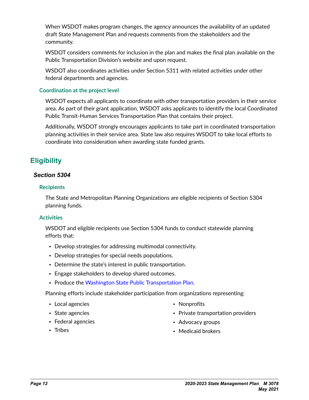<span id="page-11-0"></span>When WSDOT makes program changes, the agency announces the availability of an updated draft State Management Plan and requests comments from the stakeholders and the community.

WSDOT considers comments for inclusion in the plan and makes the final plan available on the Public Transportation Division's website and upon request.

WSDOT also coordinates activities under Section 5311 with related activities under other federal departments and agencies.

#### **Coordination at the project level**

WSDOT expects all applicants to coordinate with other transportation providers in their service area. As part of their grant application, WSDOT asks applicants to identify the local Coordinated Public Transit-Human Services Transportation Plan that contains their project.

Additionally, WSDOT strongly encourages applicants to take part in coordinated transportation planning activities in their service area. State law also requires WSDOT to take local efforts to coordinate into consideration when awarding state funded grants.

# **Eligibility**

## *Section 5304*

### **Recipients**

The State and Metropolitan Planning Organizations are eligible recipients of Section 5304 planning funds.

## **Activities**

WSDOT and eligible recipients use Section 5304 funds to conduct statewide planning efforts that:

- Develop strategies for addressing multimodal connectivity.
- Develop strategies for special needs populations.
- Determine the state's interest in public transportation.
- Engage stakeholders to develop shared outcomes.
- Produce the [Washington State Public Transportation Plan](https://www.wsdot.wa.gov/sites/default/files/2019/10/15/PT-Report-WashingtonStatePublicTransportationPlan-2016.pdf).

Planning efforts include stakeholder participation from organizations representing:

• Local agencies

• Nonprofits

- State agencies
- Federal agencies
- Tribes

• Advocacy groups

• Private transportation providers

• Medicaid brokers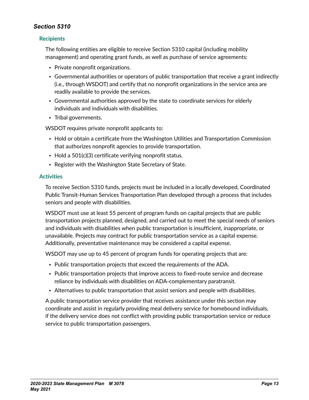### <span id="page-12-0"></span>**Recipients**

The following entities are eligible to receive Section 5310 capital (including mobility management) and operating grant funds, as well as purchase of service agreements:

- Private nonprofit organizations.
- Governmental authorities or operators of public transportation that receive a grant indirectly (i.e., through WSDOT) and certify that no nonprofit organizations in the service area are readily available to provide the services.
- Governmental authorities approved by the state to coordinate services for elderly individuals and individuals with disabilities.
- Tribal governments.

WSDOT requires private nonprofit applicants to:

- Hold or obtain a certificate from the Washington Utilities and Transportation Commission that authorizes nonprofit agencies to provide transportation.
- Hold a 501(c)(3) certificate verifying nonprofit status.
- Register with the Washington State Secretary of State.

#### **Activities**

To receive Section 5310 funds, projects must be included in a locally developed, Coordinated Public Transit-Human Services Transportation Plan developed through a process that includes seniors and people with disabilities.

WSDOT must use at least 55 percent of program funds on capital projects that are public transportation projects planned, designed, and carried out to meet the special needs of seniors and individuals with disabilities when public transportation is insufficient, inappropriate, or unavailable. Projects may contract for public transportation service as a capital expense. Additionally, preventative maintenance may be considered a capital expense.

WSDOT may use up to 45 percent of program funds for operating projects that are:

- Public transportation projects that exceed the requirements of the ADA.
- Public transportation projects that improve access to fixed-route service and decrease reliance by individuals with disabilities on ADA-complementary paratransit.
- Alternatives to public transportation that assist seniors and people with disabilities.

A public transportation service provider that receives assistance under this section may coordinate and assist in regularly providing meal delivery service for homebound individuals, if the delivery service does not conflict with providing public transportation service or reduce service to public transportation passengers.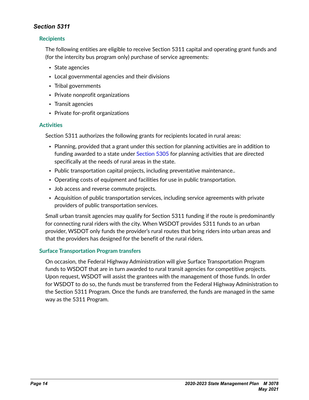## <span id="page-13-0"></span>**Recipients**

The following entities are eligible to receive Section 5311 capital and operating grant funds and (for the intercity bus program only) purchase of service agreements:

- State agencies
- Local governmental agencies and their divisions
- Tribal governments
- Private nonprofit organizations
- Transit agencies
- Private for-profit organizations

#### **Activities**

Section 5311 authorizes the following grants for recipients located in rural areas:

- Planning, provided that a grant under this section for planning activities are in addition to funding awarded to a state under [Section 5305](https://www.transit.dot.gov/funding/grants/metropolitan-statewide-planning-and-nonmetropolitan-transportation-planning-5303-5304) for planning activities that are directed specifically at the needs of rural areas in the state.
- Public transportation capital projects, including preventative maintenance..
- Operating costs of equipment and facilities for use in public transportation.
- Job access and reverse commute projects.
- Acquisition of public transportation services, including service agreements with private providers of public transportation services.

Small urban transit agencies may qualify for Section 5311 funding if the route is predominantly for connecting rural riders with the city. When WSDOT provides 5311 funds to an urban provider, WSDOT only funds the provider's rural routes that bring riders into urban areas and that the providers has designed for the benefit of the rural riders.

#### **Surface Transportation Program transfers**

On occasion, the Federal Highway Administration will give Surface Transportation Program funds to WSDOT that are in turn awarded to rural transit agencies for competitive projects. Upon request, WSDOT will assist the grantees with the management of those funds. In order for WSDOT to do so, the funds must be transferred from the Federal Highway Administration to the Section 5311 Program. Once the funds are transferred, the funds are managed in the same way as the 5311 Program.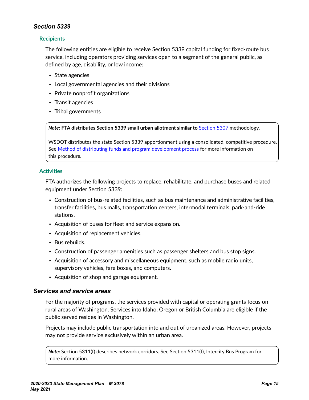#### <span id="page-14-0"></span>**Recipients**

The following entities are eligible to receive Section 5339 capital funding for fixed-route bus service, including operators providing services open to a segment of the general public, as defined by age, disability, or low income:

- State agencies
- Local governmental agencies and their divisions
- Private nonprofit organizations
- Transit agencies
- Tribal governments

*Note:* **FTA distributes Section 5339 small urban allotment similar to** [Section 5307](https://www.transit.dot.gov/funding/grants/urbanized-area-formula-grants-5307) methodology.

WSDOT distributes the state Section 5339 apportionment using a consolidated, competitive procedure. See Method of distributing funds and program development process for more information on this procedure.

### **Activities**

FTA authorizes the following projects to replace, rehabilitate, and purchase buses and related equipment under Section 5339:

- Construction of bus-related facilities, such as bus maintenance and administrative facilities, transfer facilities, bus malls, transportation centers, intermodal terminals, park-and-ride stations.
- Acquisition of buses for fleet and service expansion.
- Acquisition of replacement vehicles.
- Bus rebuilds.
- Construction of passenger amenities such as passenger shelters and bus stop signs.
- Acquisition of accessory and miscellaneous equipment, such as mobile radio units, supervisory vehicles, fare boxes, and computers.
- Acquisition of shop and garage equipment.

## *Services and service areas*

For the majority of programs, the services provided with capital or operating grants focus on rural areas of Washington. Services into Idaho, Oregon or British Columbia are eligible if the public served resides in Washington.

Projects may include public transportation into and out of urbanized areas. However, projects may not provide service exclusively within an urban area.

*Note:* Section 5311(f) describes network corridors. See Section 5311(f), Intercity Bus Program for more information.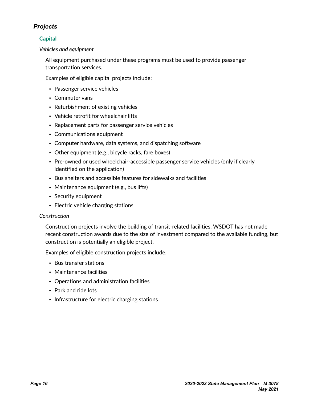## <span id="page-15-0"></span>*Projects*

## **Capital**

*Vehicles and equipment*

All equipment purchased under these programs must be used to provide passenger transportation services.

Examples of eligible capital projects include:

- Passenger service vehicles
- Commuter vans
- Refurbishment of existing vehicles
- Vehicle retrofit for wheelchair lifts
- Replacement parts for passenger service vehicles
- Communications equipment
- Computer hardware, data systems, and dispatching software
- Other equipment (e.g., bicycle racks, fare boxes)
- Pre-owned or used wheelchair-accessible passenger service vehicles (only if clearly identified on the application)
- Bus shelters and accessible features for sidewalks and facilities
- Maintenance equipment (e.g., bus lifts)
- Security equipment
- Electric vehicle charging stations

#### *Construction*

Construction projects involve the building of transit-related facilities. WSDOT has not made recent construction awards due to the size of investment compared to the available funding, but construction is potentially an eligible project.

Examples of eligible construction projects include:

- Bus transfer stations
- Maintenance facilities
- Operations and administration facilities
- Park and ride lots
- Infrastructure for electric charging stations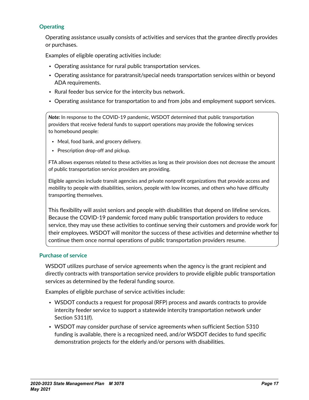#### **Operating**

Operating assistance usually consists of activities and services that the grantee directly provides or purchases.

Examples of eligible operating activities include:

- Operating assistance for rural public transportation services.
- Operating assistance for paratransit/special needs transportation services within or beyond ADA requirements.
- Rural feeder bus service for the intercity bus network.
- Operating assistance for transportation to and from jobs and employment support services.

*Note:* In response to the COVID-19 pandemic, WSDOT determined that public transportation providers that receive federal funds to support operations may provide the following services to homebound people:

- Meal, food bank, and grocery delivery.
- Prescription drop-off and pickup.

FTA allows expenses related to these activities as long as their provision does not decrease the amount of public transportation service providers are providing.

Eligible agencies include transit agencies and private nonprofit organizations that provide access and mobility to people with disabilities, seniors, people with low incomes, and others who have difficulty transporting themselves.

This flexibility will assist seniors and people with disabilities that depend on lifeline services. Because the COVID-19 pandemic forced many public transportation providers to reduce service, they may use these activities to continue serving their customers and provide work for their employees. WSDOT will monitor the success of these activities and determine whether to continue them once normal operations of public transportation providers resume.

#### **Purchase of service**

WSDOT utilizes purchase of service agreements when the agency is the grant recipient and directly contracts with transportation service providers to provide eligible public transportation services as determined by the federal funding source.

Examples of eligible purchase of service activities include:

- WSDOT conducts a request for proposal (RFP) process and awards contracts to provide intercity feeder service to support a statewide intercity transportation network under Section 5311(f).
- WSDOT may consider purchase of service agreements when sufficient Section 5310 funding is available, there is a recognized need, and/or WSDOT decides to fund specific demonstration projects for the elderly and/or persons with disabilities.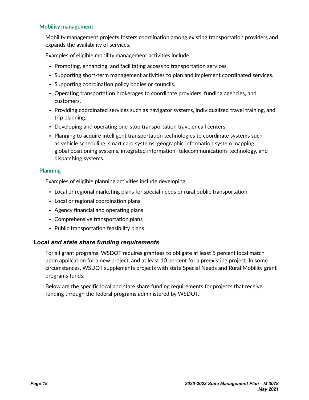#### <span id="page-17-0"></span>**Mobility management**

Mobility management projects fosters coordination among existing transportation providers and expands the availability of services.

Examples of eligible mobility management activities include:

- Promoting, enhancing, and facilitating access to transportation services.
- Supporting short-term management activities to plan and implement coordinated services.
- Supporting coordination policy bodies or councils.
- Operating transportation brokerages to coordinate providers, funding agencies, and customers.
- Providing coordinated services such as navigator systems, individualized travel training, and trip planning.
- Developing and operating one-stop transportation traveler call centers.
- Planning to acquire intelligent transportation technologies to coordinate systems such as vehicle scheduling, smart card systems, geographic information system mapping, global positioning systems, integrated information- telecommunications technology, and dispatching systems.

#### **Planning**

Examples of eligible planning activities include developing:

- Local or regional marketing plans for special needs or rural public transportation
- Local or regional coordination plans
- Agency financial and operating plans
- Comprehensive transportation plans
- Public transportation feasibility plans

## *Local and state share funding requirements*

For all grant programs, WSDOT requires grantees to obligate at least 5 percent local match upon application for a new project, and at least 10 percent for a preexisting project. In some circumstances, WSDOT supplements projects with state Special Needs and Rural Mobility grant programs funds.

Below are the specific local and state share funding requirements for projects that receive funding through the federal programs administered by WSDOT.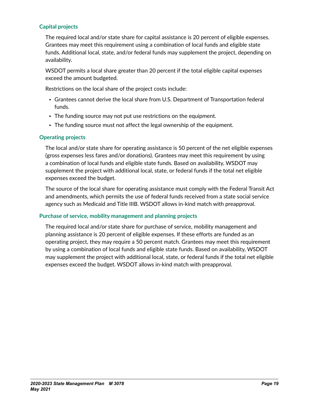### **Capital projects**

The required local and/or state share for capital assistance is 20 percent of eligible expenses. Grantees may meet this requirement using a combination of local funds and eligible state funds. Additional local, state, and/or federal funds may supplement the project, depending on availability.

WSDOT permits a local share greater than 20 percent if the total eligible capital expenses exceed the amount budgeted.

Restrictions on the local share of the project costs include:

- Grantees cannot derive the local share from U.S. Department of Transportation federal funds.
- The funding source may not put use restrictions on the equipment.
- The funding source must not affect the legal ownership of the equipment.

#### **Operating projects**

The local and/or state share for operating assistance is 50 percent of the net eligible expenses (gross expenses less fares and/or donations). Grantees may meet this requirement by using a combination of local funds and eligible state funds. Based on availability, WSDOT may supplement the project with additional local, state, or federal funds if the total net eligible expenses exceed the budget.

The source of the local share for operating assistance must comply with the Federal Transit Act and amendments, which permits the use of federal funds received from a state social service agency such as Medicaid and Title IIIB. WSDOT allows in-kind match with preapproval.

#### **Purchase of service, mobility management and planning projects**

The required local and/or state share for purchase of service, mobility management and planning assistance is 20 percent of eligible expenses. If these efforts are funded as an operating project, they may require a 50 percent match. Grantees may meet this requirement by using a combination of local funds and eligible state funds. Based on availability, WSDOT may supplement the project with additional local, state, or federal funds if the total net eligible expenses exceed the budget. WSDOT allows in-kind match with preapproval.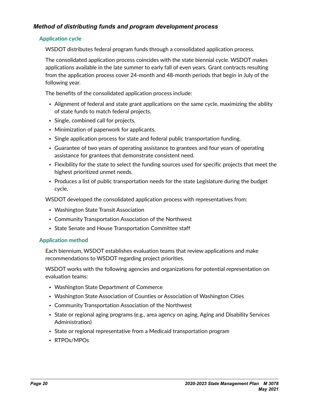## <span id="page-19-0"></span>*Method of distributing funds and program development process*

#### **Application cycle**

WSDOT distributes federal program funds through a consolidated application process.

The consolidated application process coincides with the state biennial cycle. WSDOT makes applications available in the late summer to early fall of even years. Grant contracts resulting from the application process cover 24-month and 48-month periods that begin in July of the following year.

The benefits of the consolidated application process include:

- Alignment of federal and state grant applications on the same cycle, maximizing the ability of state funds to match federal projects.
- Single, combined call for projects.
- Minimization of paperwork for applicants.
- Single application process for state and federal public transportation funding.
- Guarantee of two years of operating assistance to grantees and four years of operating assistance for grantees that demonstrate consistent need.
- Flexibility for the state to select the funding sources used for specific projects that meet the highest prioritized unmet needs.
- Produces a list of public transportation needs for the state Legislature during the budget cycle.

WSDOT developed the consolidated application process with representatives from:

- Washington State Transit Association
- Community Transportation Association of the Northwest
- State Senate and House Transportation Committee staff

#### **Application method**

Each biennium, WSDOT establishes evaluation teams that review applications and make recommendations to WSDOT regarding project priorities.

WSDOT works with the following agencies and organizations for potential representation on evaluation teams:

- Washington State Department of Commerce
- Washington State Association of Counties or Association of Washington Cities
- Community Transportation Association of the Northwest
- State or regional aging programs (e.g., area agency on aging, Aging and Disability Services Administration)
- State or regional representative from a Medicaid transportation program
- RTPOs/MPOs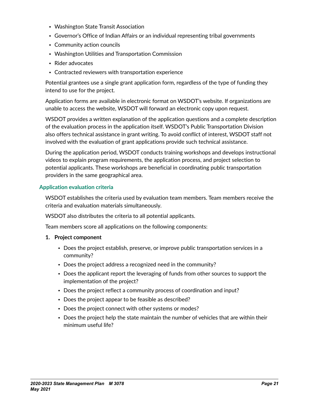- Washington State Transit Association
- Governor's Office of Indian Affairs or an individual representing tribal governments
- Community action councils
- Washington Utilities and Transportation Commission
- Rider advocates
- Contracted reviewers with transportation experience

Potential grantees use a single grant application form, regardless of the type of funding they intend to use for the project.

Application forms are available in electronic format on WSDOT's website. If organizations are unable to access the website, WSDOT will forward an electronic copy upon request.

WSDOT provides a written explanation of the application questions and a complete description of the evaluation process in the application itself. WSDOT's Public Transportation Division also offers technical assistance in grant writing. To avoid conflict of interest, WSDOT staff not involved with the evaluation of grant applications provide such technical assistance.

During the application period, WSDOT conducts training workshops and develops instructional videos to explain program requirements, the application process, and project selection to potential applicants. These workshops are beneficial in coordinating public transportation providers in the same geographical area.

#### **Application evaluation criteria**

WSDOT establishes the criteria used by evaluation team members. Team members receive the criteria and evaluation materials simultaneously.

WSDOT also distributes the criteria to all potential applicants.

Team members score all applications on the following components:

- **1. Project component**
	- Does the project establish, preserve, or improve public transportation services in a community?
	- Does the project address a recognized need in the community?
	- Does the applicant report the leveraging of funds from other sources to support the implementation of the project?
	- Does the project reflect a community process of coordination and input?
	- Does the project appear to be feasible as described?
	- Does the project connect with other systems or modes?
	- Does the project help the state maintain the number of vehicles that are within their minimum useful life?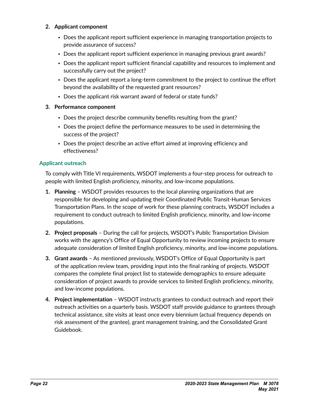#### **2. Applicant component**

- Does the applicant report sufficient experience in managing transportation projects to provide assurance of success?
- Does the applicant report sufficient experience in managing previous grant awards?
- Does the applicant report sufficient financial capability and resources to implement and successfully carry out the project?
- Does the applicant report a long-term commitment to the project to continue the effort beyond the availability of the requested grant resources?
- Does the applicant risk warrant award of federal or state funds?

#### **3. Performance component**

- Does the project describe community benefits resulting from the grant?
- Does the project define the performance measures to be used in determining the success of the project?
- Does the project describe an active effort aimed at improving efficiency and effectiveness?

#### **Applicant outreach**

To comply with Title VI requirements, WSDOT implements a four-step process for outreach to people with limited English proficiency, minority, and low-income populations.

- **1. Planning** WSDOT provides resources to the local planning organizations that are responsible for developing and updating their Coordinated Public Transit-Human Services Transportation Plans. In the scope of work for these planning contracts, WSDOT includes a requirement to conduct outreach to limited English proficiency, minority, and low-income populations.
- **2. Project proposals** During the call for projects, WSDOT's Public Transportation Division works with the agency's Office of Equal Opportunity to review incoming projects to ensure adequate consideration of limited English proficiency, minority, and low-income populations.
- **3. Grant awards** As mentioned previously, WSDOT's Office of Equal Opportunity is part of the application review team, providing input into the final ranking of projects. WSDOT compares the complete final project list to statewide demographics to ensure adequate consideration of project awards to provide services to limited English proficiency, minority, and low-income populations.
- **4. Project implementation** WSDOT instructs grantees to conduct outreach and report their outreach activities on a quarterly basis. WSDOT staff provide guidance to grantees through technical assistance, site visits at least once every biennium (actual frequency depends on risk assessment of the grantee), grant management training, and the Consolidated Grant Guidebook.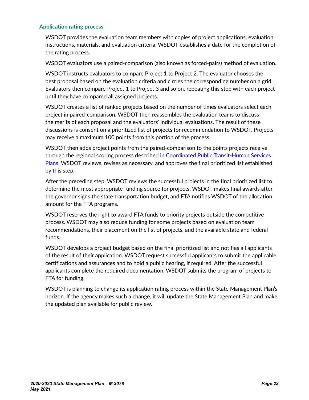#### **Application rating process**

WSDOT provides the evaluation team members with copies of project applications, evaluation instructions, materials, and evaluation criteria. WSDOT establishes a date for the completion of the rating process.

WSDOT evaluators use a paired-comparison (also known as forced-pairs) method of evaluation.

WSDOT instructs evaluators to compare Project 1 to Project 2. The evaluator chooses the best proposal based on the evaluation criteria and circles the corresponding number on a grid. Evaluators then compare Project 1 to Project 3 and so on, repeating this step with each project until they have compared all assigned projects.

WSDOT creates a list of ranked projects based on the number of times evaluators select each project in paired-comparison. WSDOT then reassembles the evaluation teams to discuss the merits of each proposal and the evaluators' individual evaluations. The result of these discussions is consent on a prioritized list of projects for recommendation to WSDOT. Projects may receive a maximum 100 points from this portion of the process.

WSDOT then adds project points from the paired-comparison to the points projects receive through the regional scoring process described in Coordinated Public Transit-Human Services Plans. WSDOT reviews, revises as necessary, and approves the final prioritized list established by this step.

After the preceding step, WSDOT reviews the successful projects in the final prioritized list to determine the most appropriate funding source for projects. WSDOT makes final awards after the governor signs the state transportation budget, and FTA notifies WSDOT of the allocation amount for the FTA programs.

WSDOT reserves the right to award FTA funds to priority projects outside the competitive process. WSDOT may also reduce funding for some projects based on evaluation team recommendations, their placement on the list of projects, and the available state and federal funds.

WSDOT develops a project budget based on the final prioritized list and notifies all applicants of the result of their application. WSDOT request successful applicants to submit the applicable certifications and assurances and to hold a public hearing, if required. After the successful applicants complete the required documentation, WSDOT submits the program of projects to FTA for funding.

WSDOT is planning to change its application rating process within the State Management Plan's horizon. If the agency makes such a change, it will update the State Management Plan and make the updated plan available for public review.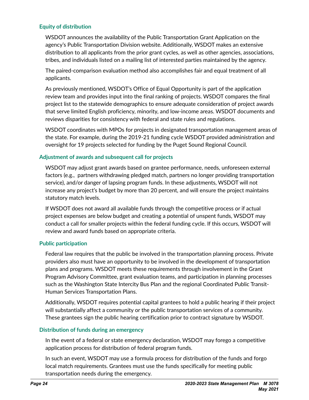#### **Equity of distribution**

WSDOT announces the availability of the Public Transportation Grant Application on the agency's Public Transportation Division website. Additionally, WSDOT makes an extensive distribution to all applicants from the prior grant cycles, as well as other agencies, associations, tribes, and individuals listed on a mailing list of interested parties maintained by the agency.

The paired-comparison evaluation method also accomplishes fair and equal treatment of all applicants.

As previously mentioned, WSDOT's Office of Equal Opportunity is part of the application review team and provides input into the final ranking of projects. WSDOT compares the final project list to the statewide demographics to ensure adequate consideration of project awards that serve limited English proficiency, minority, and low-income areas. WSDOT documents and reviews disparities for consistency with federal and state rules and regulations.

WSDOT coordinates with MPOs for projects in designated transportation management areas of the state. For example, during the 2019-21 funding cycle WSDOT provided administration and oversight for 19 projects selected for funding by the Puget Sound Regional Council.

#### **Adjustment of awards and subsequent call for projects**

WSDOT may adjust grant awards based on grantee performance, needs, unforeseen external factors (e.g., partners withdrawing pledged match, partners no longer providing transportation service), and/or danger of lapsing program funds. In these adjustments, WSDOT will not increase any project's budget by more than 20 percent, and will ensure the project maintains statutory match levels.

If WSDOT does not award all available funds through the competitive process or if actual project expenses are below budget and creating a potential of unspent funds, WSDOT may conduct a call for smaller projects within the federal funding cycle. If this occurs, WSDOT will review and award funds based on appropriate criteria.

#### **Public participation**

Federal law requires that the public be involved in the transportation planning process. Private providers also must have an opportunity to be involved in the development of transportation plans and programs. WSDOT meets these requirements through involvement in the Grant Program Advisory Committee, grant evaluation teams, and participation in planning processes such as the Washington State Intercity Bus Plan and the regional Coordinated Public Transit-Human Services Transportation Plans.

Additionally, WSDOT requires potential capital grantees to hold a public hearing if their project will substantially affect a community or the public transportation services of a community. These grantees sign the public hearing certification prior to contract signature by WSDOT.

#### **Distribution of funds during an emergency**

In the event of a federal or state emergency declaration, WSDOT may forego a competitive application process for distribution of federal program funds.

In such an event, WSDOT may use a formula process for distribution of the funds and forgo local match requirements. Grantees must use the funds specifically for meeting public transportation needs during the emergency.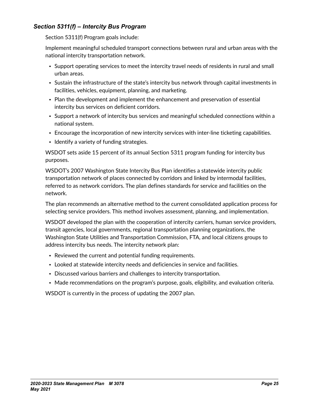## <span id="page-24-0"></span>*Section 5311(f) – Intercity Bus Program*

Section 5311(f) Program goals include:

Implement meaningful scheduled transport connections between rural and urban areas with the national intercity transportation network.

- Support operating services to meet the intercity travel needs of residents in rural and small urban areas.
- Sustain the infrastructure of the state's intercity bus network through capital investments in facilities, vehicles, equipment, planning, and marketing.
- Plan the development and implement the enhancement and preservation of essential intercity bus services on deficient corridors.
- Support a network of intercity bus services and meaningful scheduled connections within a national system.
- Encourage the incorporation of new intercity services with inter-line ticketing capabilities.
- Identify a variety of funding strategies.

WSDOT sets aside 15 percent of its annual Section 5311 program funding for intercity bus purposes.

WSDOT's 2007 Washington State Intercity Bus Plan identifies a statewide intercity public transportation network of places connected by corridors and linked by intermodal facilities, referred to as network corridors. The plan defines standards for service and facilities on the network.

The plan recommends an alternative method to the current consolidated application process for selecting service providers. This method involves assessment, planning, and implementation.

WSDOT developed the plan with the cooperation of intercity carriers, human service providers, transit agencies, local governments, regional transportation planning organizations, the Washington State Utilities and Transportation Commission, FTA, and local citizens groups to address intercity bus needs. The intercity network plan:

- Reviewed the current and potential funding requirements.
- Looked at statewide intercity needs and deficiencies in service and facilities.
- Discussed various barriers and challenges to intercity transportation.
- Made recommendations on the program's purpose, goals, eligibility, and evaluation criteria.

WSDOT is currently in the process of updating the 2007 plan.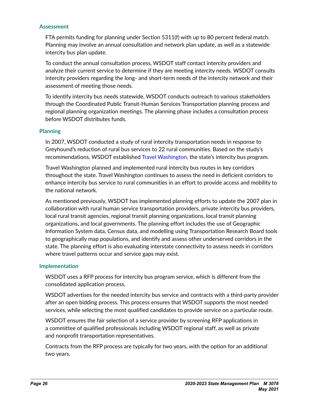#### **Assessment**

FTA permits funding for planning under Section 5311(f) with up to 80 percent federal match. Planning may involve an annual consultation and network plan update, as well as a statewide intercity bus plan update.

To conduct the annual consultation process, WSDOT staff contact intercity providers and analyze their current service to determine if they are meeting intercity needs. WSDOT consults intercity providers regarding the long- and short-term needs of the intercity network and their assessment of meeting those needs.

To identify intercity bus needs statewide, WSDOT conducts outreach to various stakeholders through the Coordinated Public Transit-Human Services Transportation planning process and regional planning organization meetings. The planning phase includes a consultation process before WSDOT distributes funds.

#### **Planning**

In 2007, WSDOT conducted a study of rural intercity transportation needs in response to Greyhound's reduction of rural bus services to 22 rural communities. Based on the study's recommendations, WSDOT established [Travel Washington](https://www.wsdot.wa.gov/transit/intercity), the state's intercity bus program.

Travel Washington planned and implemented rural intercity bus routes in key corridors throughout the state. Travel Washington continues to assess the need in deficient corridors to enhance intercity bus service to rural communities in an effort to provide access and mobility to the national network.

As mentioned previously, WSDOT has implemented planning efforts to update the 2007 plan in collaboration with rural human service transportation providers, private intercity bus providers, local rural transit agencies, regional transit planning organizations, local transit planning organizations, and local governments. The planning effort includes the use of Geographic Information System data, Census data, and modelling using Transportation Research Board tools to geographically map populations, and identify and assess other underserved corridors in the state. The planning effort is also evaluating interstate connectivity to assess needs in corridors where travel patterns occur and service gaps may exist.

#### **Implementation**

WSDOT uses a RFP process for intercity bus program service, which is different from the consolidated application process.

WSDOT advertises for the needed intercity bus service and contracts with a third-party provider after an open bidding process. This process ensures that WSDOT supports the most needed services, while selecting the most qualified candidates to provide service on a particular route.

WSDOT ensures the fair selection of a service provider by screening RFP applications in a committee of qualified professionals including WSDOT regional staff, as well as private and nonprofit transportation representatives.

Contracts from the RFP process are typically for two years, with the option for an additional two years.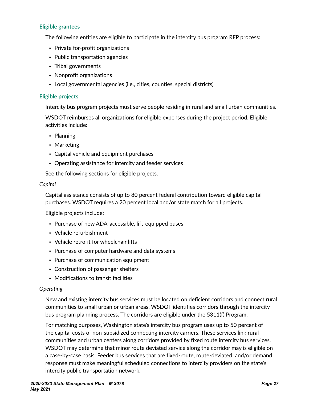#### **Eligible grantees**

The following entities are eligible to participate in the intercity bus program RFP process:

- Private for-profit organizations
- Public transportation agencies
- Tribal governments
- Nonprofit organizations
- Local governmental agencies (i.e., cities, counties, special districts)

#### **Eligible projects**

Intercity bus program projects must serve people residing in rural and small urban communities.

WSDOT reimburses all organizations for eligible expenses during the project period. Eligible activities include:

- Planning
- Marketing
- Capital vehicle and equipment purchases
- Operating assistance for intercity and feeder services

See the following sections for eligible projects.

#### *Capital*

Capital assistance consists of up to 80 percent federal contribution toward eligible capital purchases. WSDOT requires a 20 percent local and/or state match for all projects.

Eligible projects include:

- Purchase of new ADA-accessible, lift-equipped buses
- Vehicle refurbishment
- Vehicle retrofit for wheelchair lifts
- Purchase of computer hardware and data systems
- Purchase of communication equipment
- Construction of passenger shelters
- Modifications to transit facilities

#### *Operating*

New and existing intercity bus services must be located on deficient corridors and connect rural communities to small urban or urban areas. WSDOT identifies corridors through the intercity bus program planning process. The corridors are eligible under the 5311(f) Program.

For matching purposes, Washington state's intercity bus program uses up to 50 percent of the capital costs of non-subsidized connecting intercity carriers. These services link rural communities and urban centers along corridors provided by fixed route intercity bus services. WSDOT may determine that minor route deviated service along the corridor may is eligible on a case-by-case basis. Feeder bus services that are fixed-route, route-deviated, and/or demand response must make meaningful scheduled connections to intercity providers on the state's intercity public transportation network.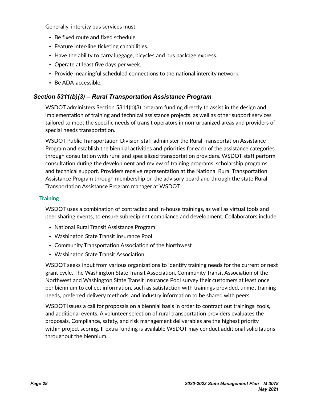<span id="page-27-0"></span>Generally, intercity bus services must:

- Be fixed route and fixed schedule.
- Feature inter-line ticketing capabilities.
- Have the ability to carry luggage, bicycles and bus package express.
- Operate at least five days per week.
- Provide meaningful scheduled connections to the national intercity network.
- Be ADA-accessible.

# *Section 5311(b)(3) – Rural Transportation Assistance Program*

WSDOT administers Section 5311(b)(3) program funding directly to assist in the design and implementation of training and technical assistance projects, as well as other support services tailored to meet the specific needs of transit operators in non-urbanized areas and providers of special needs transportation.

WSDOT Public Transportation Division staff administer the Rural Transportation Assistance Program and establish the biennial activities and priorities for each of the assistance categories through consultation with rural and specialized transportation providers. WSDOT staff perform consultation during the development and review of training programs, scholarship programs, and technical support. Providers receive representation at the National Rural Transportation Assistance Program through membership on the advisory board and through the state Rural Transportation Assistance Program manager at WSDOT.

## **Training**

WSDOT uses a combination of contracted and in-house trainings, as well as virtual tools and peer sharing events, to ensure subrecipient compliance and development. Collaborators include:

- National Rural Transit Assistance Program
- Washington State Transit Insurance Pool
- Community Transportation Association of the Northwest
- Washington State Transit Association

WSDOT seeks input from various organizations to identify training needs for the current or next grant cycle. The Washington State Transit Association, Community Transit Association of the Northwest and Washington State Transit Insurance Pool survey their customers at least once per biennium to collect information, such as satisfaction with trainings provided, unmet training needs, preferred delivery methods, and industry information to be shared with peers.

WSDOT issues a call for proposals on a biennial basis in order to contract out trainings, tools, and additional events. A volunteer selection of rural transportation providers evaluates the proposals. Compliance, safety, and risk management deliverables are the highest priority within project scoring. If extra funding is available WSDOT may conduct additional solicitations throughout the biennium.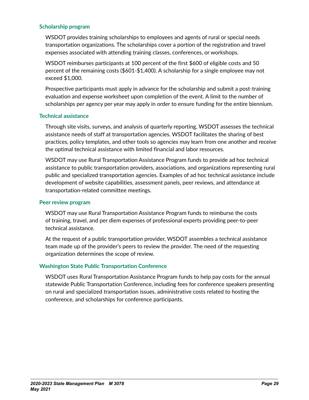#### **Scholarship program**

WSDOT provides training scholarships to employees and agents of rural or special needs transportation organizations. The scholarships cover a portion of the registration and travel expenses associated with attending training classes, conferences, or workshops.

WSDOT reimburses participants at 100 percent of the first \$600 of eligible costs and 50 percent of the remaining costs (\$601-\$1,400). A scholarship for a single employee may not exceed \$1,000.

Prospective participants must apply in advance for the scholarship and submit a post-training evaluation and expense worksheet upon completion of the event. A limit to the number of scholarships per agency per year may apply in order to ensure funding for the entire biennium.

#### **Technical assistance**

Through site visits, surveys, and analysis of quarterly reporting, WSDOT assesses the technical assistance needs of staff at transportation agencies. WSDOT facilitates the sharing of best practices, policy templates, and other tools so agencies may learn from one another and receive the optimal technical assistance with limited financial and labor resources.

WSDOT may use Rural Transportation Assistance Program funds to provide ad hoc technical assistance to public transportation providers, associations, and organizations representing rural public and specialized transportation agencies. Examples of ad hoc technical assistance include development of website capabilities, assessment panels, peer reviews, and attendance at transportation-related committee meetings.

#### **Peer review program**

WSDOT may use Rural Transportation Assistance Program funds to reimburse the costs of training, travel, and per diem expenses of professional experts providing peer-to-peer technical assistance.

At the request of a public transportation provider, WSDOT assembles a technical assistance team made up of the provider's peers to review the provider. The need of the requesting organization determines the scope of review.

#### **Washington State Public Transportation Conference**

WSDOT uses Rural Transportation Assistance Program funds to help pay costs for the annual statewide Public Transportation Conference, including fees for conference speakers presenting on rural and specialized transportation issues, administrative costs related to hosting the conference, and scholarships for conference participants.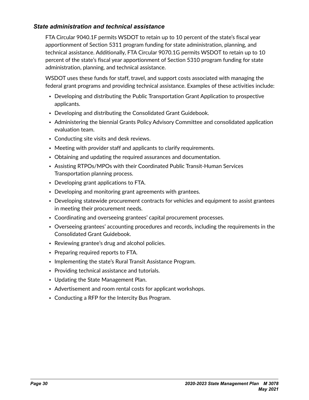## <span id="page-29-0"></span>*State administration and technical assistance*

FTA Circular 9040.1F permits WSDOT to retain up to 10 percent of the state's fiscal year apportionment of Section 5311 program funding for state administration, planning, and technical assistance. Additionally, FTA Circular 9070.1G permits WSDOT to retain up to 10 percent of the state's fiscal year apportionment of Section 5310 program funding for state administration, planning, and technical assistance.

WSDOT uses these funds for staff, travel, and support costs associated with managing the federal grant programs and providing technical assistance. Examples of these activities include:

- Developing and distributing the Public Transportation Grant Application to prospective applicants.
- Developing and distributing the Consolidated Grant Guidebook.
- Administering the biennial Grants Policy Advisory Committee and consolidated application evaluation team.
- Conducting site visits and desk reviews.
- Meeting with provider staff and applicants to clarify requirements.
- Obtaining and updating the required assurances and documentation.
- Assisting RTPOs/MPOs with their Coordinated Public Transit-Human Services Transportation planning process.
- Developing grant applications to FTA.
- Developing and monitoring grant agreements with grantees.
- Developing statewide procurement contracts for vehicles and equipment to assist grantees in meeting their procurement needs.
- Coordinating and overseeing grantees' capital procurement processes.
- Overseeing grantees' accounting procedures and records, including the requirements in the Consolidated Grant Guidebook.
- Reviewing grantee's drug and alcohol policies.
- Preparing required reports to FTA.
- Implementing the state's Rural Transit Assistance Program.
- Providing technical assistance and tutorials.
- Updating the State Management Plan.
- Advertisement and room rental costs for applicant workshops.
- Conducting a RFP for the Intercity Bus Program.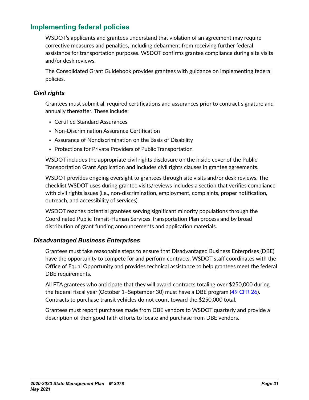# <span id="page-30-0"></span>**Implementing federal policies**

WSDOT's applicants and grantees understand that violation of an agreement may require corrective measures and penalties, including debarment from receiving further federal assistance for transportation purposes. WSDOT confirms grantee compliance during site visits and/or desk reviews.

The Consolidated Grant Guidebook provides grantees with guidance on implementing federal policies.

## *Civil rights*

Grantees must submit all required certifications and assurances prior to contract signature and annually thereafter. These include:

- Certified Standard Assurances
- Non-Discrimination Assurance Certification
- Assurance of Nondiscrimination on the Basis of Disability
- Protections for Private Providers of Public Transportation

WSDOT includes the appropriate civil rights disclosure on the inside cover of the Public Transportation Grant Application and includes civil rights clauses in grantee agreements.

WSDOT provides ongoing oversight to grantees through site visits and/or desk reviews. The checklist WSDOT uses during grantee visits/reviews includes a section that verifies compliance with civil rights issues (i.e., non-discrimination, employment, complaints, proper notification, outreach, and accessibility of services).

WSDOT reaches potential grantees serving significant minority populations through the Coordinated Public Transit-Human Services Transportation Plan process and by broad distribution of grant funding announcements and application materials.

## *Disadvantaged Business Enterprises*

Grantees must take reasonable steps to ensure that Disadvantaged Business Enterprises (DBE) have the opportunity to compete for and perform contracts. WSDOT staff coordinates with the Office of Equal Opportunity and provides technical assistance to help grantees meet the federal DBE requirements.

All FTA grantees who anticipate that they will award contracts totaling over \$250,000 during the federal fiscal year (October 1–September 30) must have a DBE program ([49 CFR 26](http://www.ecfr.gov/cgi-bin/text-idx?SID=6af2a535afa8c3a8dfedc17bbb68e59c&mc=true&node=pt49.1.26&rgn=div5)). Contracts to purchase transit vehicles do not count toward the \$250,000 total.

Grantees must report purchases made from DBE vendors to WSDOT quarterly and provide a description of their good faith efforts to locate and purchase from DBE vendors.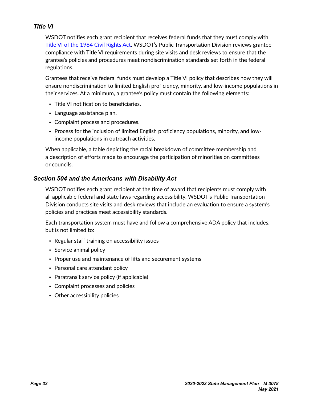## <span id="page-31-0"></span>*Title VI*

WSDOT notifies each grant recipient that receives federal funds that they must comply with [Title VI of the 1964 Civil Rights Act](https://www.justice.gov/crt/title-vi-civil-rights-act-1964-42-usc-2000d-et-seq). WSDOT's Public Transportation Division reviews grantee compliance with Title VI requirements during site visits and desk reviews to ensure that the grantee's policies and procedures meet nondiscrimination standards set forth in the federal regulations.

Grantees that receive federal funds must develop a Title VI policy that describes how they will ensure nondiscrimination to limited English proficiency, minority, and low-income populations in their services. At a minimum, a grantee's policy must contain the following elements:

- Title VI notification to beneficiaries.
- Language assistance plan.
- Complaint process and procedures.
- Process for the inclusion of limited English proficiency populations, minority, and lowincome populations in outreach activities.

When applicable, a table depicting the racial breakdown of committee membership and a description of efforts made to encourage the participation of minorities on committees or councils.

## *Section 504 and the Americans with Disability Act*

WSDOT notifies each grant recipient at the time of award that recipients must comply with all applicable federal and state laws regarding accessibility. WSDOT's Public Transportation Division conducts site visits and desk reviews that include an evaluation to ensure a system's policies and practices meet accessibility standards.

Each transportation system must have and follow a comprehensive ADA policy that includes, but is not limited to:

- Regular staff training on accessibility issues
- Service animal policy
- Proper use and maintenance of lifts and securement systems
- Personal care attendant policy
- Paratransit service policy (if applicable)
- Complaint processes and policies
- Other accessibility policies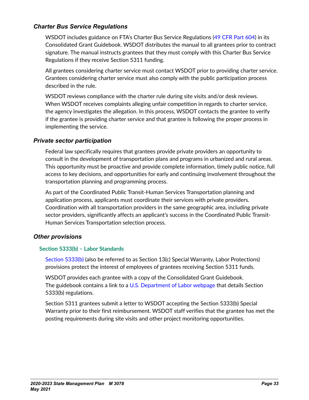## <span id="page-32-0"></span>*Charter Bus Service Regulations*

WSDOT includes guidance on FTA's Charter Bus Service Regulations ([49 CFR Part 604](https://www.govinfo.gov/content/pkg/CFR-2010-title49-vol7/pdf/CFR-2010-title49-vol7-part604.pdf)) in its Consolidated Grant Guidebook. WSDOT distributes the manual to all grantees prior to contract signature. The manual instructs grantees that they must comply with this Charter Bus Service Regulations if they receive Section 5311 funding.

All grantees considering charter service must contact WSDOT prior to providing charter service. Grantees considering charter service must also comply with the public participation process described in the rule.

WSDOT reviews compliance with the charter rule during site visits and/or desk reviews. When WSDOT receives complaints alleging unfair competition in regards to charter service, the agency investigates the allegation. In this process, WSDOT contacts the grantee to verify if the grantee is providing charter service and that grantee is following the proper process in implementing the service.

#### *Private sector participation*

Federal law specifically requires that grantees provide private providers an opportunity to consult in the development of transportation plans and programs in urbanized and rural areas. This opportunity must be proactive and provide complete information, timely public notice, full access to key decisions, and opportunities for early and continuing involvement throughout the transportation planning and programming process.

As part of the Coordinated Public Transit-Human Services Transportation planning and application process, applicants must coordinate their services with private providers. Coordination with all transportation providers in the same geographic area, including private sector providers, significantly affects an applicant's success in the Coordinated Public Transit-Human Services Transportation selection process.

#### *Other provisions*

#### **Section 5333(b) – Labor Standards**

[Section 5333\(b\)](https://www.dol.gov/olms/regs/compliance/statute-sect5333b.htm) (also be referred to as Section 13(c) Special Warranty, Labor Protections) provisions protect the interest of employees of grantees receiving Section 5311 funds.

WSDOT provides each grantee with a copy of the Consolidated Grant Guidebook. The guidebook contains a link to a [U.S. Department of Labor webpage](https://www.dol.gov/olms/regs/compliance/compltransit.htm) that details Section 5333(b) regulations.

Section 5311 grantees submit a letter to WSDOT accepting the Section 5333(b) Special Warranty prior to their first reimbursement. WSDOT staff verifies that the grantee has met the posting requirements during site visits and other project monitoring opportunities.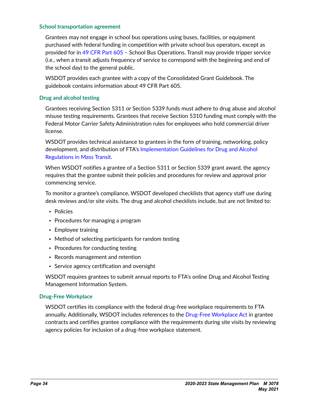#### **School transportation agreement**

Grantees may not engage in school bus operations using buses, facilities, or equipment purchased with federal funding in competition with private school bus operators, except as provided for in [49 CFR Part 605](http://www.ecfr.gov/cgi-bin/text-idx?SID=6af2a535afa8c3a8dfedc17bbb68e59c&mc=true&node=pt49.7.605&rgn=div5) – School Bus Operations. Transit may provide tripper service (i.e., when a transit adjusts frequency of service to correspond with the beginning and end of the school day) to the general public.

WSDOT provides each grantee with a copy of the Consolidated Grant Guidebook. The guidebook contains information about 49 CFR Part 605.

#### **Drug and alcohol testing**

Grantees receiving Section 5311 or Section 5339 funds must adhere to drug abuse and alcohol misuse testing requirements. Grantees that receive Section 5310 funding must comply with the Federal Motor Carrier Safety Administration rules for employees who hold commercial driver license.

WSDOT provides technical assistance to grantees in the form of training, networking, policy development, and distribution of FTA's Implementation Guidelines for Drug and Alcohol [Regulations in Mass Transit.](https://www.transit.dot.gov/oversight-policy-areas/implementation-guidelines-drug-and-alcohol-regulations-mass-transit-october)

When WSDOT notifies a grantee of a Section 5311 or Section 5339 grant award, the agency requires that the grantee submit their policies and procedures for review and approval prior commencing service.

To monitor a grantee's compliance, WSDOT developed checklists that agency staff use during desk reviews and/or site visits. The drug and alcohol checklists include, but are not limited to:

- Policies
- Procedures for managing a program
- Employee training
- Method of selecting participants for random testing
- Procedures for conducting testing
- Records management and retention
- Service agency certification and oversight

WSDOT requires grantees to submit annual reports to FTA's online Drug and Alcohol Testing Management Information System.

#### **Drug-Free Workplace**

WSDOT certifies its compliance with the federal drug-free workplace requirements to FTA annually. Additionally, WSDOT includes references to the [Drug-Free Workplace Act](http://webapps.dol.gov/elaws/asp/drugfree/require.htm) in grantee contracts and certifies grantee compliance with the requirements during site visits by reviewing agency policies for inclusion of a drug-free workplace statement.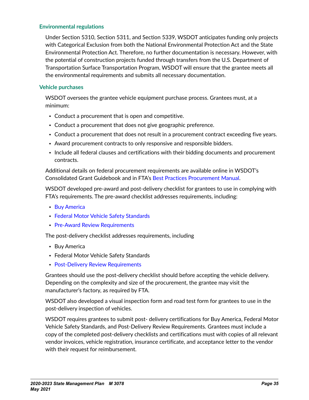#### **Environmental regulations**

Under Section 5310, Section 5311, and Section 5339, WSDOT anticipates funding only projects with Categorical Exclusion from both the National Environmental Protection Act and the State Environmental Protection Act. Therefore, no further documentation is necessary. However, with the potential of construction projects funded through transfers from the U.S. Department of Transportation Surface Transportation Program, WSDOT will ensure that the grantee meets all the environmental requirements and submits all necessary documentation.

#### **Vehicle purchases**

WSDOT oversees the grantee vehicle equipment purchase process. Grantees must, at a minimum:

- Conduct a procurement that is open and competitive.
- Conduct a procurement that does not give geographic preference.
- Conduct a procurement that does not result in a procurement contract exceeding five years.
- Award procurement contracts to only responsive and responsible bidders.
- Include all federal clauses and certifications with their bidding documents and procurement contracts.

Additional details on federal procurement requirements are available online in WSDOT's Consolidated Grant Guidebook and in FTA's [Best Practices Procurement Manual](https://www.transit.dot.gov/funding/procurement/best-practices-procurement-manual).

WSDOT developed pre-award and post-delivery checklist for grantees to use in complying with FTA's requirements. The pre-award checklist addresses requirements, including:

- [Buy America](https://www.transit.dot.gov/buyamerica)
- [Federal Motor Vehicle Safety Standards](http://www.nhtsa.gov/cars/rules/import/FMVSS/)
- [Pre-Award Review Requirements](https://www.transit.dot.gov/regulations-and-guidance/buy-america/pre-award-review-requirements)

The post-delivery checklist addresses requirements, including

- Buy America
- Federal Motor Vehicle Safety Standards
- [Post-Delivery Review Requirements](https://www.transit.dot.gov/regulations-and-guidance/buy-america/post-delivery-review-requirements)

Grantees should use the post-delivery checklist should before accepting the vehicle delivery. Depending on the complexity and size of the procurement, the grantee may visit the manufacturer's factory, as required by FTA.

WSDOT also developed a visual inspection form and road test form for grantees to use in the post-delivery inspection of vehicles.

WSDOT requires grantees to submit post- delivery certifications for Buy America, Federal Motor Vehicle Safety Standards, and Post-Delivery Review Requirements. Grantees must include a copy of the completed post-delivery checklists and certifications must with copies of all relevant vendor invoices, vehicle registration, insurance certificate, and acceptance letter to the vendor with their request for reimbursement.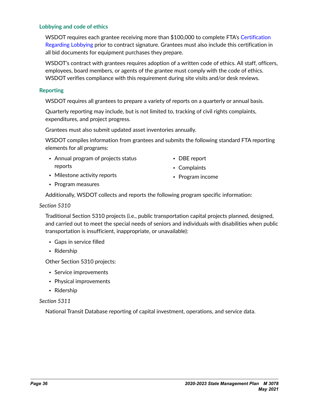#### **Lobbying and code of ethics**

WSDOT requires each grantee receiving more than \$100,000 to complete FTA's [Certification](https://www.wsdot.wa.gov/publications/fulltext/design/ConsultantSrvs/2018_FTA_Lobbying.pdf)  [Regarding Lobbying](https://www.wsdot.wa.gov/publications/fulltext/design/ConsultantSrvs/2018_FTA_Lobbying.pdf) prior to contract signature. Grantees must also include this certification in all bid documents for equipment purchases they prepare.

WSDOT's contract with grantees requires adoption of a written code of ethics. All staff, officers, employees, board members, or agents of the grantee must comply with the code of ethics. WSDOT verifies compliance with this requirement during site visits and/or desk reviews.

#### **Reporting**

WSDOT requires all grantees to prepare a variety of reports on a quarterly or annual basis.

Quarterly reporting may include, but is not limited to, tracking of civil rights complaints, expenditures, and project progress.

Grantees must also submit updated asset inventories annually.

WSDOT compiles information from grantees and submits the following standard FTA reporting elements for all programs:

- Annual program of projects status reports
- DBE report
- Complaints

- Milestone activity reports
	-

• Program income

• Program measures

Additionally, WSDOT collects and reports the following program specific information:

#### *Section 5310*

Traditional Section 5310 projects (i.e., public transportation capital projects planned, designed, and carried out to meet the special needs of seniors and individuals with disabilities when public transportation is insufficient, inappropriate, or unavailable):

- Gaps in service filled
- Ridership

Other Section 5310 projects:

- Service improvements
- Physical improvements
- Ridership

#### *Section 5311*

National Transit Database reporting of capital investment, operations, and service data.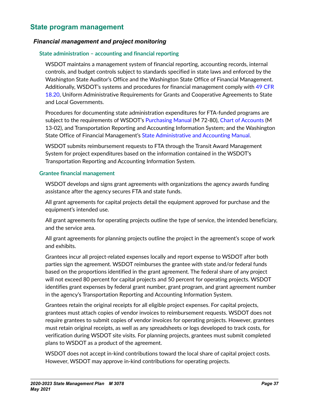# <span id="page-36-0"></span>**State program management**

## *Financial management and project monitoring*

#### **State administration – accounting and financial reporting**

WSDOT maintains a management system of financial reporting, accounting records, internal controls, and budget controls subject to standards specified in state laws and enforced by the Washington State Auditor's Office and the Washington State Office of Financial Management. Additionally, WSDOT's systems and procedures for financial management comply with [49 CFR](https://www.gpo.gov/fdsys/granule/CFR-2011-title49-vol1/CFR-2011-title49-vol1-sec18-20)  [18.20](https://www.gpo.gov/fdsys/granule/CFR-2011-title49-vol1/CFR-2011-title49-vol1-sec18-20), Uniform Administrative Requirements for Grants and Cooperative Agreements to State and Local Governments.

Procedures for documenting state administration expenditures for FTA-funded programs are subject to the requirements of WSDOT's [Purchasing Manual](http://wwwi.wsdot.wa.gov/publications/manuals/fulltext/M72-80/PurchMnl.pdf) (M 72-80), [Chart of Accounts](http://wwwi.wsdot.wa.gov/publications/manuals/fulltext/M13-02/COA.pdf) (M 13-02), and Transportation Reporting and Accounting Information System; and the Washington State Office of Financial Management's [State Administrative and Accounting Manual.](http://www.ofm.wa.gov/policy/default.asp)

WSDOT submits reimbursement requests to FTA through the Transit Award Management System for project expenditures based on the information contained in the WSDOT's Transportation Reporting and Accounting Information System.

#### **Grantee financial management**

WSDOT develops and signs grant agreements with organizations the agency awards funding assistance after the agency secures FTA and state funds.

All grant agreements for capital projects detail the equipment approved for purchase and the equipment's intended use.

All grant agreements for operating projects outline the type of service, the intended beneficiary, and the service area.

All grant agreements for planning projects outline the project in the agreement's scope of work and exhibits.

Grantees incur all project-related expenses locally and report expense to WSDOT after both parties sign the agreement. WSDOT reimburses the grantee with state and/or federal funds based on the proportions identified in the grant agreement. The federal share of any project will not exceed 80 percent for capital projects and 50 percent for operating projects. WSDOT identifies grant expenses by federal grant number, grant program, and grant agreement number in the agency's Transportation Reporting and Accounting Information System.

Grantees retain the original receipts for all eligible project expenses. For capital projects, grantees must attach copies of vendor invoices to reimbursement requests. WSDOT does not require grantees to submit copies of vendor invoices for operating projects. However, grantees must retain original receipts, as well as any spreadsheets or logs developed to track costs, for verification during WSDOT site visits. For planning projects, grantees must submit completed plans to WSDOT as a product of the agreement.

WSDOT does not accept in-kind contributions toward the local share of capital project costs. However, WSDOT may approve in-kind contributions for operating projects.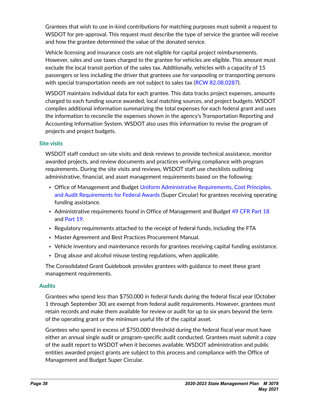Grantees that wish to use in-kind contributions for matching purposes must submit a request to WSDOT for pre-approval. This request must describe the type of service the grantee will receive and how the grantee determined the value of the donated service.

Vehicle licensing and insurance costs are not eligible for capital project reimbursements. However, sales and use taxes charged to the grantee for vehicles are eligible. This amount must exclude the local transit portion of the sales tax. Additionally, vehicles with a capacity of 15 passengers or less including the driver that grantees use for vanpooling or transporting persons with special transportation needs are not subject to sales tax [\(RCW 82.08.0287\)](https://apps.leg.wa.gov/rcw/default.aspx?cite=82.08.0287).

WSDOT maintains individual data for each grantee. This data tracks project expenses, amounts charged to each funding source awarded, local matching sources, and project budgets. WSDOT compiles additional information summarizing the total expenses for each federal grant and uses the information to reconcile the expenses shown in the agency's Transportation Reporting and Accounting Information System. WSDOT also uses this information to revise the program of projects and project budgets.

#### **Site visits**

WSDOT staff conduct on-site visits and desk reviews to provide technical assistance, monitor awarded projects, and review documents and practices verifying compliance with program requirements. During the site visits and reviews, WSDOT staff use checklists outlining administrative, financial, and asset management requirements based on the following:

- Office of Management and Budget [Uniform Administrative Requirements, Cost Principles,](https://www.govinfo.gov/app/details/CFR-2017-title2-vol1/CFR-2017-title2-vol1-part200)  [and Audit Requirements for Federal Awards](https://www.govinfo.gov/app/details/CFR-2017-title2-vol1/CFR-2017-title2-vol1-part200) (Super Circular) for grantees receiving operating funding assistance.
- Administrative requirements found in Office of Management and Budget [49 CFR Part 18](https://www.govinfo.gov/app/details/CFR-2009-title49-vol1/CFR-2009-title49-vol1-part18) and [Part 19](https://www.govinfo.gov/app/details/CFR-2003-title49-vol1/CFR-2003-title49-vol1-part19).
- Regulatory requirements attached to the receipt of federal funds, including the FTA
- Master Agreement and Best Practices Procurement Manual.
- Vehicle inventory and maintenance records for grantees receiving capital funding assistance.
- Drug abuse and alcohol misuse testing regulations, when applicable.

The Consolidated Grant Guidebook provides grantees with guidance to meet these grant management requirements.

#### **Audits**

Grantees who spend less than \$750,000 in federal funds during the federal fiscal year (October 1 through September 30) are exempt from federal audit requirements. However, grantees must retain records and make them available for review or audit for up to six years beyond the term of the operating grant or the minimum useful life of the capital asset.

Grantees who spend in excess of \$750,000 threshold during the federal fiscal year must have either an annual single audit or program-specific audit conducted. Grantees must submit a copy of the audit report to WSDOT when it becomes available. WSDOT administration and public entities awarded project grants are subject to this process and compliance with the Office of Management and Budget Super Circular.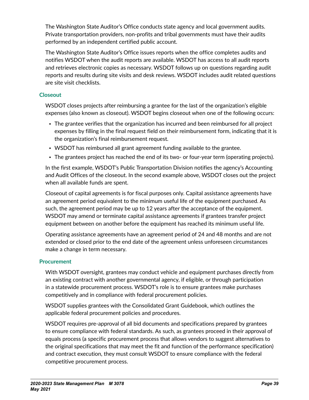The Washington State Auditor's Office conducts state agency and local government audits. Private transportation providers, non-profits and tribal governments must have their audits performed by an independent certified public account.

The Washington State Auditor's Office issues reports when the office completes audits and notifies WSDOT when the audit reports are available. WSDOT has access to all audit reports and retrieves electronic copies as necessary. WSDOT follows up on questions regarding audit reports and results during site visits and desk reviews. WSDOT includes audit related questions are site visit checklists.

## **Closeout**

WSDOT closes projects after reimbursing a grantee for the last of the organization's eligible expenses (also known as closeout). WSDOT begins closeout when one of the following occurs:

- The grantee verifies that the organization has incurred and been reimbursed for all project expenses by filling in the final request field on their reimbursement form, indicating that it is the organization's final reimbursement request.
- WSDOT has reimbursed all grant agreement funding available to the grantee.
- The grantees project has reached the end of its two- or four-year term (operating projects).

In the first example, WSDOT's Public Transportation Division notifies the agency's Accounting and Audit Offices of the closeout. In the second example above, WSDOT closes out the project when all available funds are spent.

Closeout of capital agreements is for fiscal purposes only. Capital assistance agreements have an agreement period equivalent to the minimum useful life of the equipment purchased. As such, the agreement period may be up to 12 years after the acceptance of the equipment. WSDOT may amend or terminate capital assistance agreements if grantees transfer project equipment between on another before the equipment has reached its minimum useful life.

Operating assistance agreements have an agreement period of 24 and 48 months and are not extended or closed prior to the end date of the agreement unless unforeseen circumstances make a change in term necessary.

## **Procurement**

With WSDOT oversight, grantees may conduct vehicle and equipment purchases directly from an existing contract with another governmental agency, if eligible, or through participation in a statewide procurement process. WSDOT's role is to ensure grantees make purchases competitively and in compliance with federal procurement policies.

WSDOT supplies grantees with the Consolidated Grant Guidebook, which outlines the applicable federal procurement policies and procedures.

WSDOT requires pre-approval of all bid documents and specifications prepared by grantees to ensure compliance with federal standards. As such, as grantees proceed in their approval of equals process (a specific procurement process that allows vendors to suggest alternatives to the original specifications that may meet the fit and function of the performance specification) and contract execution, they must consult WSDOT to ensure compliance with the federal competitive procurement process.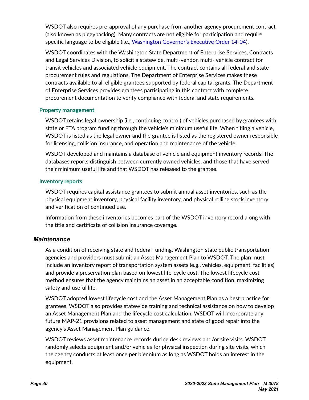<span id="page-39-0"></span>WSDOT also requires pre-approval of any purchase from another agency procurement contract (also known as piggybacking). Many contracts are not eligible for participation and require specific language to be eligible (i.e., [Washington Governor's Executive Order 14-04\)](https://www.governor.wa.gov/sites/default/files/exe_order/eo_14-04.p).

WSDOT coordinates with the Washington State Department of Enterprise Services, Contracts and Legal Services Division, to solicit a statewide, multi-vendor, multi- vehicle contract for transit vehicles and associated vehicle equipment. The contract contains all federal and state procurement rules and regulations. The Department of Enterprise Services makes these contracts available to all eligible grantees supported by federal capital grants. The Department of Enterprise Services provides grantees participating in this contract with complete procurement documentation to verify compliance with federal and state requirements.

### **Property management**

WSDOT retains legal ownership (i.e., continuing control) of vehicles purchased by grantees with state or FTA program funding through the vehicle's minimum useful life. When titling a vehicle, WSDOT is listed as the legal owner and the grantee is listed as the registered owner responsible for licensing, collision insurance, and operation and maintenance of the vehicle.

WSDOT developed and maintains a database of vehicle and equipment inventory records. The databases reports distinguish between currently owned vehicles, and those that have served their minimum useful life and that WSDOT has released to the grantee.

### **Inventory reports**

WSDOT requires capital assistance grantees to submit annual asset inventories, such as the physical equipment inventory, physical facility inventory, and physical rolling stock inventory and verification of continued use.

Information from these inventories becomes part of the WSDOT inventory record along with the title and certificate of collision insurance coverage.

## *Maintenance*

As a condition of receiving state and federal funding, Washington state public transportation agencies and providers must submit an Asset Management Plan to WSDOT. The plan must include an inventory report of transportation system assets (e.g., vehicles, equipment, facilities) and provide a preservation plan based on lowest life-cycle cost. The lowest lifecycle cost method ensures that the agency maintains an asset in an acceptable condition, maximizing safety and useful life.

WSDOT adopted lowest lifecycle cost and the Asset Management Plan as a best practice for grantees. WSDOT also provides statewide training and technical assistance on how to develop an Asset Management Plan and the lifecycle cost calculation. WSDOT will incorporate any future MAP-21 provisions related to asset management and state of good repair into the agency's Asset Management Plan guidance.

WSDOT reviews asset maintenance records during desk reviews and/or site visits. WSDOT randomly selects equipment and/or vehicles for physical inspection during site visits, which the agency conducts at least once per biennium as long as WSDOT holds an interest in the equipment.